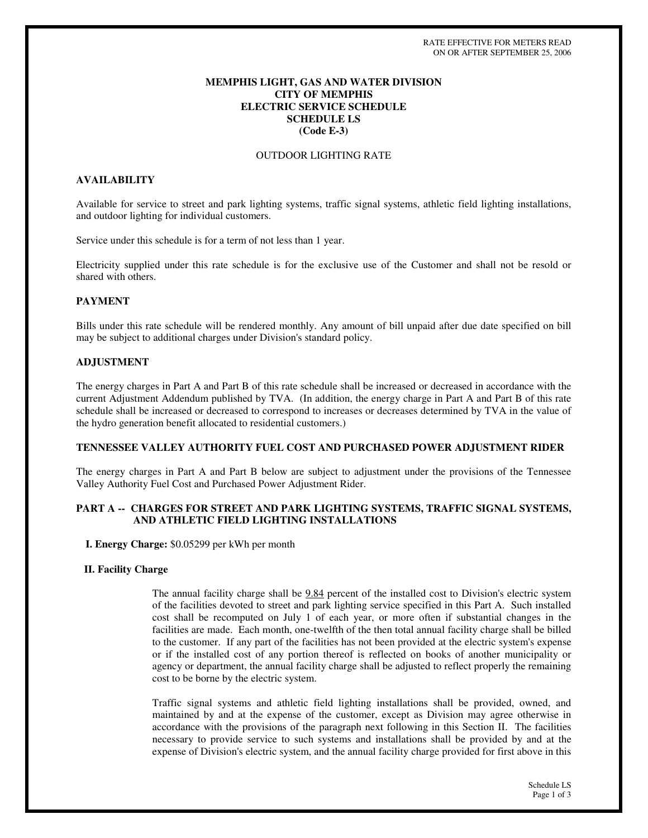## **MEMPHIS LIGHT, GAS AND WATER DIVISION CITY OF MEMPHIS ELECTRIC SERVICE SCHEDULE SCHEDULE LS (Code E-3)**

## OUTDOOR LIGHTING RATE

## **AVAILABILITY**

Available for service to street and park lighting systems, traffic signal systems, athletic field lighting installations, and outdoor lighting for individual customers.

Service under this schedule is for a term of not less than 1 year.

Electricity supplied under this rate schedule is for the exclusive use of the Customer and shall not be resold or shared with others.

## **PAYMENT**

Bills under this rate schedule will be rendered monthly. Any amount of bill unpaid after due date specified on bill may be subject to additional charges under Division's standard policy.

### **ADJUSTMENT**

The energy charges in Part A and Part B of this rate schedule shall be increased or decreased in accordance with the current Adjustment Addendum published by TVA. (In addition, the energy charge in Part A and Part B of this rate schedule shall be increased or decreased to correspond to increases or decreases determined by TVA in the value of the hydro generation benefit allocated to residential customers.)

### **TENNESSEE VALLEY AUTHORITY FUEL COST AND PURCHASED POWER ADJUSTMENT RIDER**

The energy charges in Part A and Part B below are subject to adjustment under the provisions of the Tennessee Valley Authority Fuel Cost and Purchased Power Adjustment Rider.

## **PART A -- CHARGES FOR STREET AND PARK LIGHTING SYSTEMS, TRAFFIC SIGNAL SYSTEMS, AND ATHLETIC FIELD LIGHTING INSTALLATIONS**

**I. Energy Charge:** \$0.05299 per kWh per month

### **II. Facility Charge**

The annual facility charge shall be 9.84 percent of the installed cost to Division's electric system of the facilities devoted to street and park lighting service specified in this Part A. Such installed cost shall be recomputed on July 1 of each year, or more often if substantial changes in the facilities are made. Each month, one-twelfth of the then total annual facility charge shall be billed to the customer. If any part of the facilities has not been provided at the electric system's expense or if the installed cost of any portion thereof is reflected on books of another municipality or agency or department, the annual facility charge shall be adjusted to reflect properly the remaining cost to be borne by the electric system.

Traffic signal systems and athletic field lighting installations shall be provided, owned, and maintained by and at the expense of the customer, except as Division may agree otherwise in accordance with the provisions of the paragraph next following in this Section II. The facilities necessary to provide service to such systems and installations shall be provided by and at the expense of Division's electric system, and the annual facility charge provided for first above in this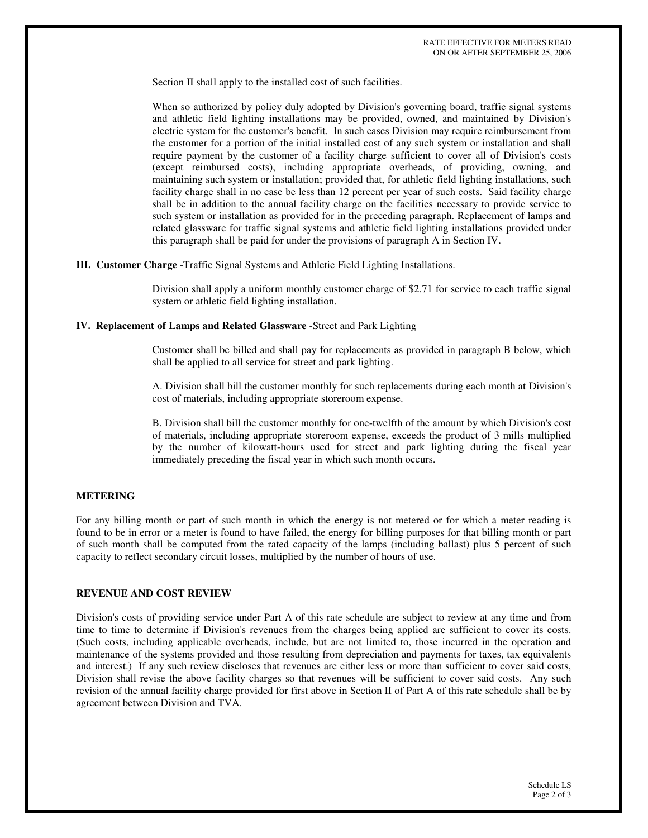Section II shall apply to the installed cost of such facilities.

When so authorized by policy duly adopted by Division's governing board, traffic signal systems and athletic field lighting installations may be provided, owned, and maintained by Division's electric system for the customer's benefit. In such cases Division may require reimbursement from the customer for a portion of the initial installed cost of any such system or installation and shall require payment by the customer of a facility charge sufficient to cover all of Division's costs (except reimbursed costs), including appropriate overheads, of providing, owning, and maintaining such system or installation; provided that, for athletic field lighting installations, such facility charge shall in no case be less than 12 percent per year of such costs. Said facility charge shall be in addition to the annual facility charge on the facilities necessary to provide service to such system or installation as provided for in the preceding paragraph. Replacement of lamps and related glassware for traffic signal systems and athletic field lighting installations provided under this paragraph shall be paid for under the provisions of paragraph A in Section IV.

**III. Customer Charge** -Traffic Signal Systems and Athletic Field Lighting Installations.

Division shall apply a uniform monthly customer charge of \$2.71 for service to each traffic signal system or athletic field lighting installation.

### **IV. Replacement of Lamps and Related Glassware** -Street and Park Lighting

Customer shall be billed and shall pay for replacements as provided in paragraph B below, which shall be applied to all service for street and park lighting.

A. Division shall bill the customer monthly for such replacements during each month at Division's cost of materials, including appropriate storeroom expense.

B. Division shall bill the customer monthly for one-twelfth of the amount by which Division's cost of materials, including appropriate storeroom expense, exceeds the product of 3 mills multiplied by the number of kilowatt-hours used for street and park lighting during the fiscal year immediately preceding the fiscal year in which such month occurs.

### **METERING**

For any billing month or part of such month in which the energy is not metered or for which a meter reading is found to be in error or a meter is found to have failed, the energy for billing purposes for that billing month or part of such month shall be computed from the rated capacity of the lamps (including ballast) plus 5 percent of such capacity to reflect secondary circuit losses, multiplied by the number of hours of use.

## **REVENUE AND COST REVIEW**

Division's costs of providing service under Part A of this rate schedule are subject to review at any time and from time to time to determine if Division's revenues from the charges being applied are sufficient to cover its costs. (Such costs, including applicable overheads, include, but are not limited to, those incurred in the operation and maintenance of the systems provided and those resulting from depreciation and payments for taxes, tax equivalents and interest.) If any such review discloses that revenues are either less or more than sufficient to cover said costs, Division shall revise the above facility charges so that revenues will be sufficient to cover said costs. Any such revision of the annual facility charge provided for first above in Section II of Part A of this rate schedule shall be by agreement between Division and TVA.